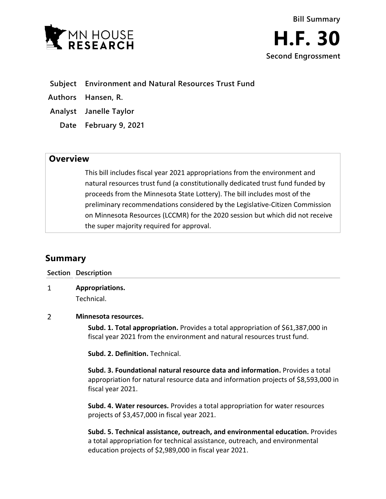



**Subject Environment and Natural Resources Trust Fund**

- **Authors Hansen, R.**
- **Analyst Janelle Taylor**
	- **Date February 9, 2021**

## **Overview**

This bill includes fiscal year 2021 appropriations from the environment and natural resources trust fund (a constitutionally dedicated trust fund funded by proceeds from the Minnesota State Lottery). The bill includes most of the preliminary recommendations considered by the Legislative-Citizen Commission on Minnesota Resources (LCCMR) for the 2020 session but which did not receive the super majority required for approval.

# **Summary**

|   | Section Description                                                                                                                                        |
|---|------------------------------------------------------------------------------------------------------------------------------------------------------------|
| 1 | Appropriations.                                                                                                                                            |
|   | Technical.                                                                                                                                                 |
| 2 | Minnesota resources.                                                                                                                                       |
|   | Subd. 1. Total appropriation. Provides a total appropriation of \$61,387,000 in<br>fiscal year 2021 from the environment and natural resources trust fund. |
|   | <b>Subd. 2. Definition.</b> Technical.                                                                                                                     |

**Subd. 3. Foundational natural resource data and information.** Provides a total appropriation for natural resource data and information projects of \$8,593,000 in fiscal year 2021.

**Subd. 4. Water resources.** Provides a total appropriation for water resources projects of \$3,457,000 in fiscal year 2021.

**Subd. 5. Technical assistance, outreach, and environmental education.** Provides a total appropriation for technical assistance, outreach, and environmental education projects of \$2,989,000 in fiscal year 2021.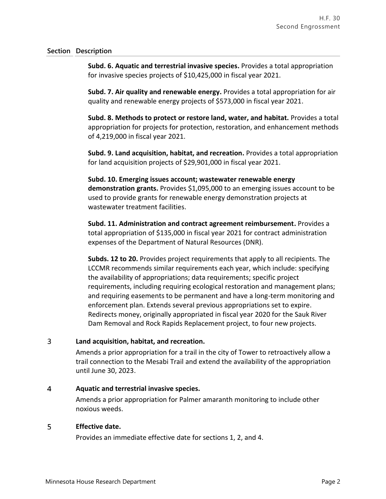### **Section Description**

**Subd. 6. Aquatic and terrestrial invasive species.** Provides a total appropriation for invasive species projects of \$10,425,000 in fiscal year 2021.

**Subd. 7. Air quality and renewable energy.** Provides a total appropriation for air quality and renewable energy projects of \$573,000 in fiscal year 2021.

**Subd. 8. Methods to protect or restore land, water, and habitat.** Provides a total appropriation for projects for protection, restoration, and enhancement methods of 4,219,000 in fiscal year 2021.

**Subd. 9. Land acquisition, habitat, and recreation.** Provides a total appropriation for land acquisition projects of \$29,901,000 in fiscal year 2021.

**Subd. 10. Emerging issues account; wastewater renewable energy demonstration grants.** Provides \$1,095,000 to an emerging issues account to be used to provide grants for renewable energy demonstration projects at wastewater treatment facilities.

**Subd. 11. Administration and contract agreement reimbursement.** Provides a total appropriation of \$135,000 in fiscal year 2021 for contract administration expenses of the Department of Natural Resources (DNR).

**Subds. 12 to 20.** Provides project requirements that apply to all recipients. The LCCMR recommends similar requirements each year, which include: specifying the availability of appropriations; data requirements; specific project requirements, including requiring ecological restoration and management plans; and requiring easements to be permanent and have a long-term monitoring and enforcement plan. Extends several previous appropriations set to expire. Redirects money, originally appropriated in fiscal year 2020 for the Sauk River Dam Removal and Rock Rapids Replacement project, to four new projects.

#### $\overline{3}$ **Land acquisition, habitat, and recreation.**

Amends a prior appropriation for a trail in the city of Tower to retroactively allow a trail connection to the Mesabi Trail and extend the availability of the appropriation until June 30, 2023.

#### $\overline{4}$ **Aquatic and terrestrial invasive species.**

Amends a prior appropriation for Palmer amaranth monitoring to include other noxious weeds.

#### 5 **Effective date.**

Provides an immediate effective date for sections 1, 2, and 4.